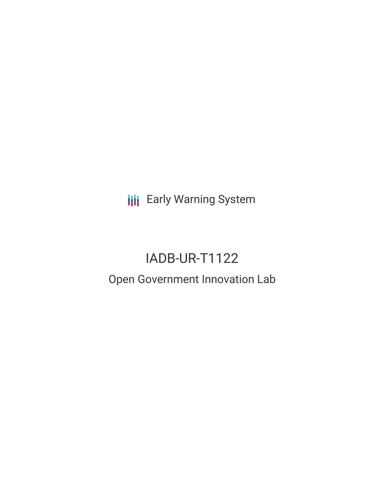**III** Early Warning System

# IADB-UR-T1122

# Open Government Innovation Lab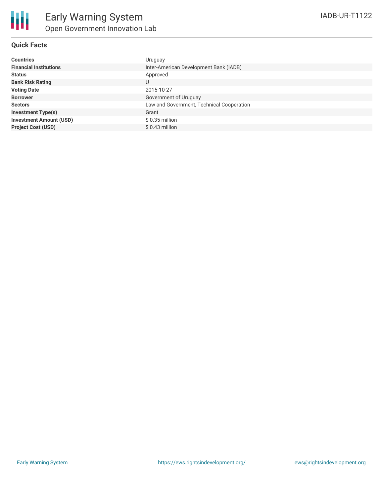#### **Quick Facts**

| <b>Countries</b>               | Uruguay                                   |
|--------------------------------|-------------------------------------------|
| <b>Financial Institutions</b>  | Inter-American Development Bank (IADB)    |
| <b>Status</b>                  | Approved                                  |
| <b>Bank Risk Rating</b>        | U                                         |
| <b>Voting Date</b>             | 2015-10-27                                |
| <b>Borrower</b>                | Government of Uruguay                     |
| <b>Sectors</b>                 | Law and Government, Technical Cooperation |
| <b>Investment Type(s)</b>      | Grant                                     |
| <b>Investment Amount (USD)</b> | $$0.35$ million                           |
| <b>Project Cost (USD)</b>      | $$0.43$ million                           |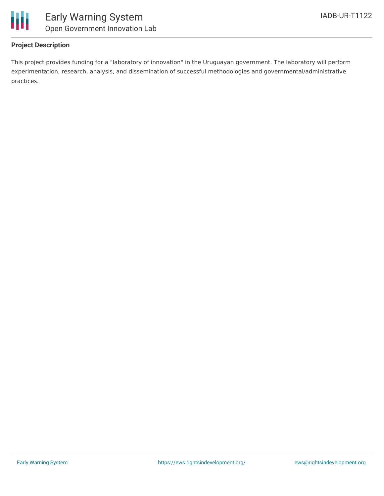

## **Project Description**

This project provides funding for a "laboratory of innovation" in the Uruguayan government. The laboratory will perform experimentation, research, analysis, and dissemination of successful methodologies and governmental/administrative practices.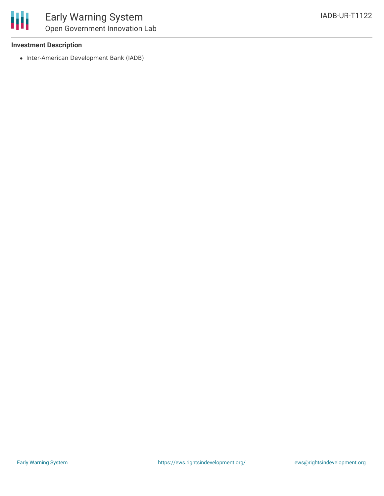

#### **Investment Description**

• Inter-American Development Bank (IADB)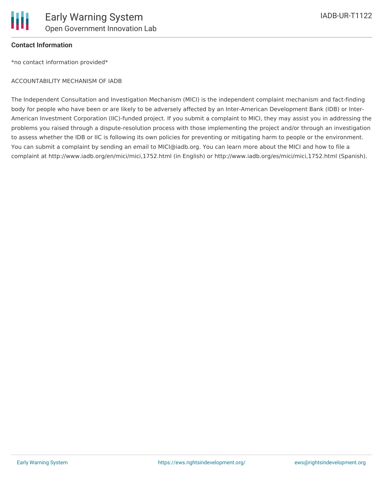

## **Contact Information**

\*no contact information provided\*

#### ACCOUNTABILITY MECHANISM OF IADB

The Independent Consultation and Investigation Mechanism (MICI) is the independent complaint mechanism and fact-finding body for people who have been or are likely to be adversely affected by an Inter-American Development Bank (IDB) or Inter-American Investment Corporation (IIC)-funded project. If you submit a complaint to MICI, they may assist you in addressing the problems you raised through a dispute-resolution process with those implementing the project and/or through an investigation to assess whether the IDB or IIC is following its own policies for preventing or mitigating harm to people or the environment. You can submit a complaint by sending an email to MICI@iadb.org. You can learn more about the MICI and how to file a complaint at http://www.iadb.org/en/mici/mici,1752.html (in English) or http://www.iadb.org/es/mici/mici,1752.html (Spanish).